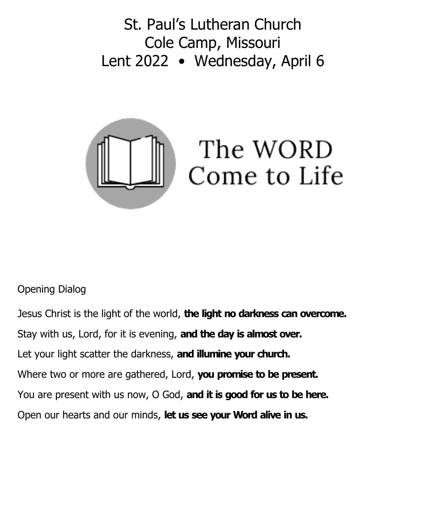St. Paul's Lutheran Church Cole Camp, Missouri Lent 2022 • Wednesday, April 6



## Opening Dialog

Jesus Christ is the light of the world, **the light no darkness can overcome.** Stay with us, Lord, for it is evening, **and the day is almost over.** Let your light scatter the darkness, **and illumine your church.** Where two or more are gathered, Lord, **you promise to be present.** You are present with us now, O God, **and it is good for us to be here.** Open our hearts and our minds, **let us see your Word alive in us.**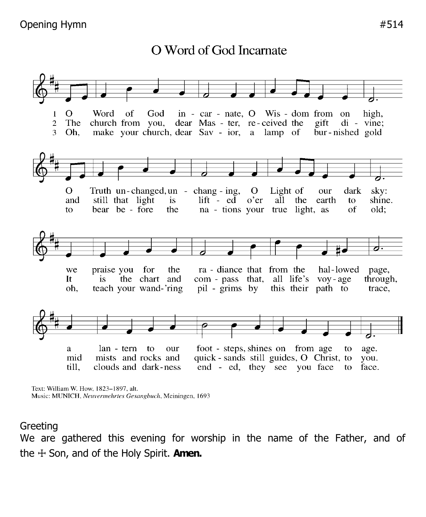O Word of God Incarnate



Text: William W. How. 1823-1897, alt. Music: MUNICH, Neuvermehrtes Gesangbuch, Meiningen, 1693

## **Greeting**

We are gathered this evening for worship in the name of the Father, and of the ☩ Son, and of the Holy Spirit. **Amen.**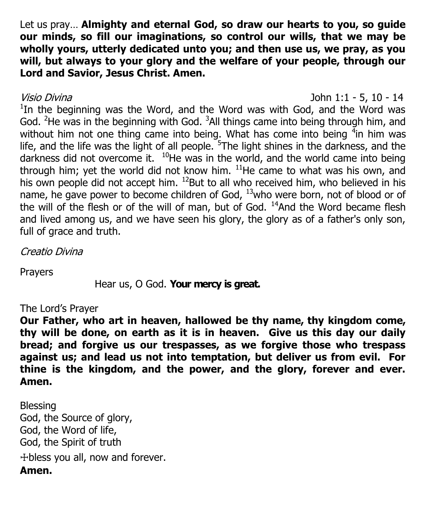Let us pray… **Almighty and eternal God, so draw our hearts to you, so guide our minds, so fill our imaginations, so control our wills, that we may be wholly yours, utterly dedicated unto you; and then use us, we pray, as you will, but always to your glory and the welfare of your people, through our Lord and Savior, Jesus Christ. Amen.**

Visio Divina John 1:1 - 5, 10 - 14 <sup>1</sup>In the beginning was the Word, and the Word was with God, and the Word was God. <sup>2</sup>He was in the beginning with God.  $3$ All things came into being through him, and without him not one thing came into being. What has come into being  $4$ in him was life, and the life was the light of all people.  $5$ The light shines in the darkness, and the darkness did not overcome it.  $10$ He was in the world, and the world came into being through him; yet the world did not know him.  $^{11}$ He came to what was his own, and his own people did not accept him.  $^{12}$ But to all who received him, who believed in his name, he gave power to become children of God,  $^{13}$ who were born, not of blood or of the will of the flesh or of the will of man, but of God.  $14$ And the Word became flesh and lived among us, and we have seen his glory, the glory as of a father's only son, full of grace and truth.

Creatio Divina

Prayers

Hear us, O God. **Your mercy is great.**

## The Lord's Prayer

**Our Father, who art in heaven, hallowed be thy name, thy kingdom come, thy will be done, on earth as it is in heaven. Give us this day our daily bread; and forgive us our trespasses, as we forgive those who trespass against us; and lead us not into temptation, but deliver us from evil. For thine is the kingdom, and the power, and the glory, forever and ever. Amen.**

Blessing God, the Source of glory, God, the Word of life, God, the Spirit of truth ☩bless you all, now and forever. **Amen.**